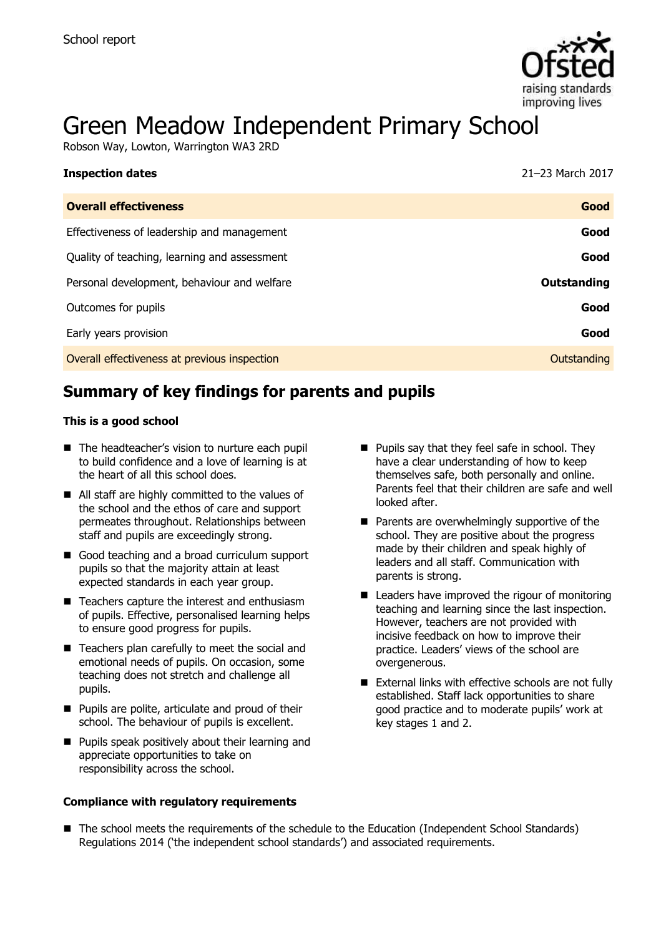

# Green Meadow Independent Primary School

Robson Way, Lowton, Warrington WA3 2RD

| <b>Inspection dates</b>                      | 21-23 March 2017   |
|----------------------------------------------|--------------------|
| <b>Overall effectiveness</b>                 | Good               |
| Effectiveness of leadership and management   | Good               |
| Quality of teaching, learning and assessment | Good               |
| Personal development, behaviour and welfare  | <b>Outstanding</b> |
| Outcomes for pupils                          | Good               |
| Early years provision                        | Good               |
| Overall effectiveness at previous inspection | Outstanding        |

# **Summary of key findings for parents and pupils**

#### **This is a good school**

- The headteacher's vision to nurture each pupil to build confidence and a love of learning is at the heart of all this school does.
- All staff are highly committed to the values of the school and the ethos of care and support permeates throughout. Relationships between staff and pupils are exceedingly strong.
- Good teaching and a broad curriculum support pupils so that the majority attain at least expected standards in each year group.
- Teachers capture the interest and enthusiasm of pupils. Effective, personalised learning helps to ensure good progress for pupils.
- Teachers plan carefully to meet the social and emotional needs of pupils. On occasion, some teaching does not stretch and challenge all pupils.
- **Pupils are polite, articulate and proud of their** school. The behaviour of pupils is excellent.
- **Pupils speak positively about their learning and** appreciate opportunities to take on responsibility across the school.

#### **Compliance with regulatory requirements**

- **Pupils say that they feel safe in school. They** have a clear understanding of how to keep themselves safe, both personally and online. Parents feel that their children are safe and well looked after.
- **Parents are overwhelmingly supportive of the** school. They are positive about the progress made by their children and speak highly of leaders and all staff. Communication with parents is strong.
- Leaders have improved the rigour of monitoring teaching and learning since the last inspection. However, teachers are not provided with incisive feedback on how to improve their practice. Leaders' views of the school are overgenerous.
- External links with effective schools are not fully established. Staff lack opportunities to share good practice and to moderate pupils' work at key stages 1 and 2.
- The school meets the requirements of the schedule to the Education (Independent School Standards) Regulations 2014 ('the independent school standards') and associated requirements.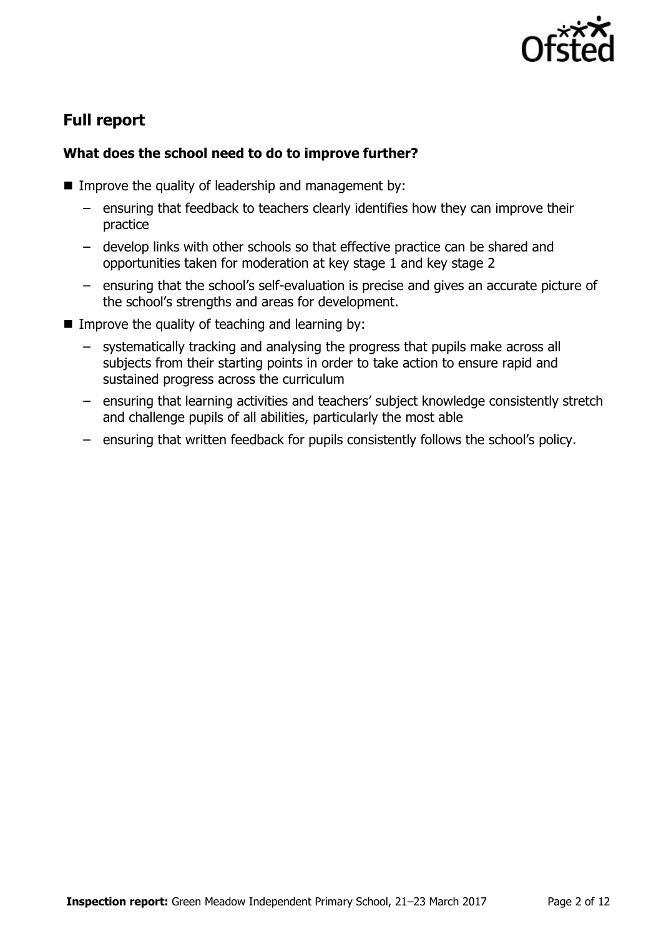

# **Full report**

## **What does the school need to do to improve further?**

- **IMPROVE the quality of leadership and management by:** 
	- ensuring that feedback to teachers clearly identifies how they can improve their practice
	- develop links with other schools so that effective practice can be shared and opportunities taken for moderation at key stage 1 and key stage 2
	- ensuring that the school's self-evaluation is precise and gives an accurate picture of the school's strengths and areas for development.
- Improve the quality of teaching and learning by:
	- systematically tracking and analysing the progress that pupils make across all subjects from their starting points in order to take action to ensure rapid and sustained progress across the curriculum
	- ensuring that learning activities and teachers' subject knowledge consistently stretch and challenge pupils of all abilities, particularly the most able
	- ensuring that written feedback for pupils consistently follows the school's policy.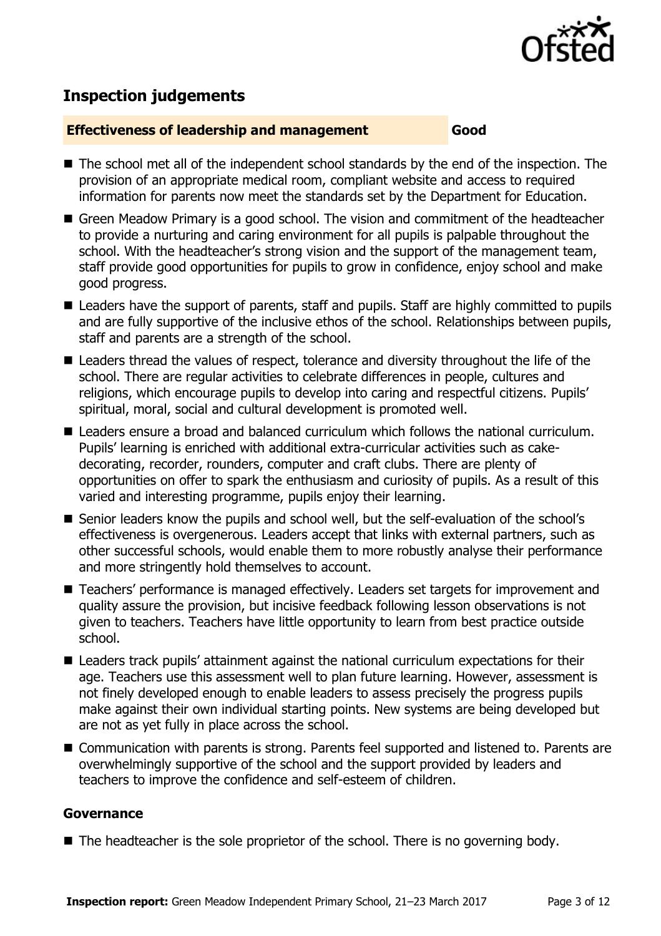

## **Inspection judgements**

#### **Effectiveness of leadership and management Good**

- The school met all of the independent school standards by the end of the inspection. The provision of an appropriate medical room, compliant website and access to required information for parents now meet the standards set by the Department for Education.
- Green Meadow Primary is a good school. The vision and commitment of the headteacher to provide a nurturing and caring environment for all pupils is palpable throughout the school. With the headteacher's strong vision and the support of the management team, staff provide good opportunities for pupils to grow in confidence, enjoy school and make good progress.
- Leaders have the support of parents, staff and pupils. Staff are highly committed to pupils and are fully supportive of the inclusive ethos of the school. Relationships between pupils, staff and parents are a strength of the school.
- Leaders thread the values of respect, tolerance and diversity throughout the life of the school. There are regular activities to celebrate differences in people, cultures and religions, which encourage pupils to develop into caring and respectful citizens. Pupils' spiritual, moral, social and cultural development is promoted well.
- Leaders ensure a broad and balanced curriculum which follows the national curriculum. Pupils' learning is enriched with additional extra-curricular activities such as cakedecorating, recorder, rounders, computer and craft clubs. There are plenty of opportunities on offer to spark the enthusiasm and curiosity of pupils. As a result of this varied and interesting programme, pupils enjoy their learning.
- Senior leaders know the pupils and school well, but the self-evaluation of the school's effectiveness is overgenerous. Leaders accept that links with external partners, such as other successful schools, would enable them to more robustly analyse their performance and more stringently hold themselves to account.
- Teachers' performance is managed effectively. Leaders set targets for improvement and quality assure the provision, but incisive feedback following lesson observations is not given to teachers. Teachers have little opportunity to learn from best practice outside school.
- Leaders track pupils' attainment against the national curriculum expectations for their age. Teachers use this assessment well to plan future learning. However, assessment is not finely developed enough to enable leaders to assess precisely the progress pupils make against their own individual starting points. New systems are being developed but are not as yet fully in place across the school.
- Communication with parents is strong. Parents feel supported and listened to. Parents are overwhelmingly supportive of the school and the support provided by leaders and teachers to improve the confidence and self-esteem of children.

#### **Governance**

■ The headteacher is the sole proprietor of the school. There is no governing body.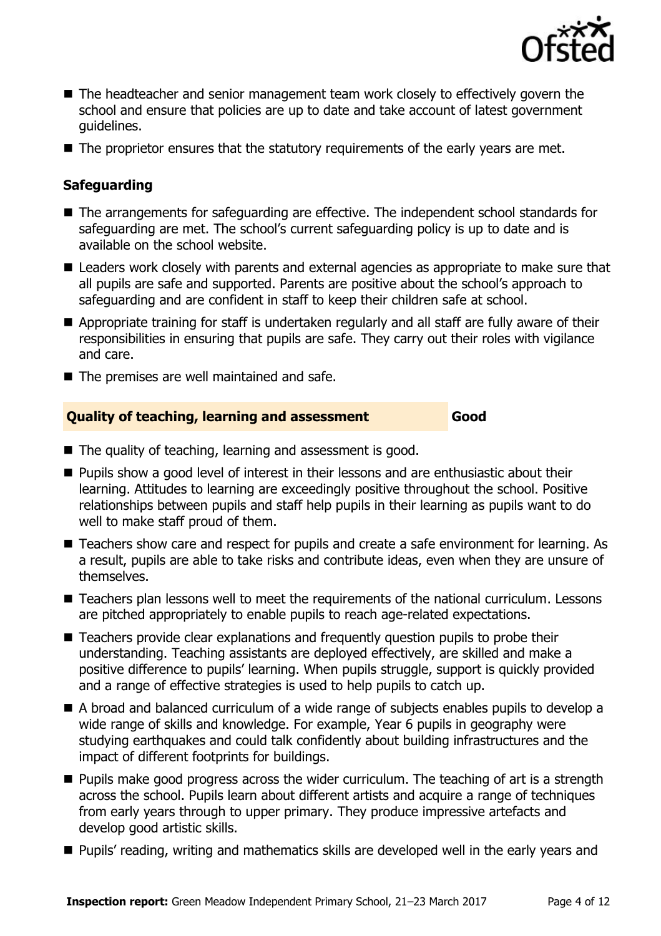

- The headteacher and senior management team work closely to effectively govern the school and ensure that policies are up to date and take account of latest government guidelines.
- The proprietor ensures that the statutory requirements of the early years are met.

## **Safeguarding**

- The arrangements for safeguarding are effective. The independent school standards for safeguarding are met. The school's current safeguarding policy is up to date and is available on the school website.
- Leaders work closely with parents and external agencies as appropriate to make sure that all pupils are safe and supported. Parents are positive about the school's approach to safeguarding and are confident in staff to keep their children safe at school.
- Appropriate training for staff is undertaken regularly and all staff are fully aware of their responsibilities in ensuring that pupils are safe. They carry out their roles with vigilance and care.
- $\blacksquare$  The premises are well maintained and safe.

## **Quality of teaching, learning and assessment Good**

■ The quality of teaching, learning and assessment is good.

- **Pupils show a good level of interest in their lessons and are enthusiastic about their** learning. Attitudes to learning are exceedingly positive throughout the school. Positive relationships between pupils and staff help pupils in their learning as pupils want to do well to make staff proud of them.
- Teachers show care and respect for pupils and create a safe environment for learning. As a result, pupils are able to take risks and contribute ideas, even when they are unsure of themselves.
- Teachers plan lessons well to meet the requirements of the national curriculum. Lessons are pitched appropriately to enable pupils to reach age-related expectations.
- Teachers provide clear explanations and frequently question pupils to probe their understanding. Teaching assistants are deployed effectively, are skilled and make a positive difference to pupils' learning. When pupils struggle, support is quickly provided and a range of effective strategies is used to help pupils to catch up.
- A broad and balanced curriculum of a wide range of subjects enables pupils to develop a wide range of skills and knowledge. For example, Year 6 pupils in geography were studying earthquakes and could talk confidently about building infrastructures and the impact of different footprints for buildings.
- **Pupils make good progress across the wider curriculum. The teaching of art is a strength** across the school. Pupils learn about different artists and acquire a range of techniques from early years through to upper primary. They produce impressive artefacts and develop good artistic skills.
- **Pupils' reading, writing and mathematics skills are developed well in the early years and**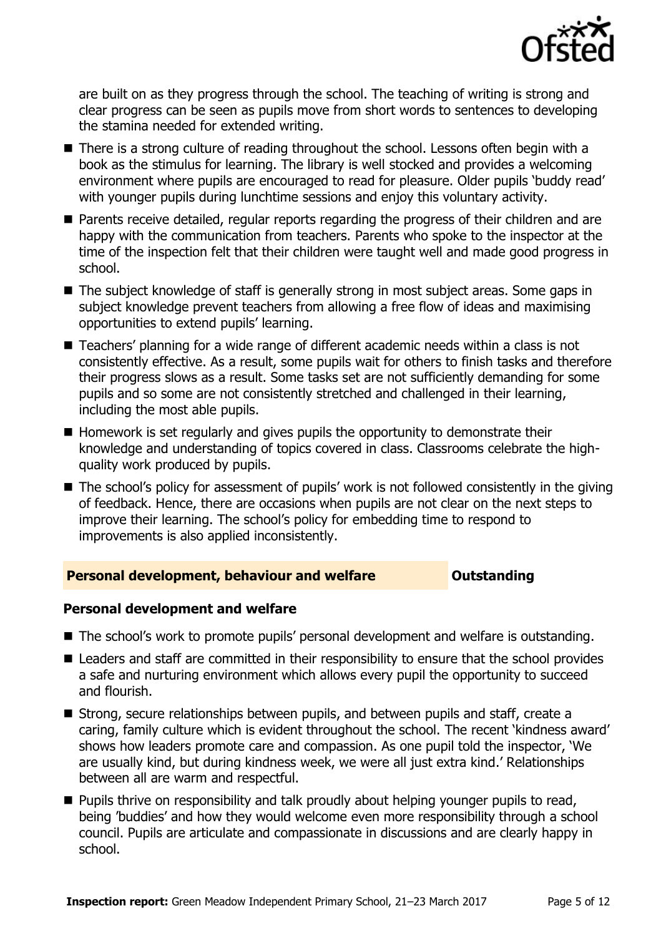

are built on as they progress through the school. The teaching of writing is strong and clear progress can be seen as pupils move from short words to sentences to developing the stamina needed for extended writing.

- There is a strong culture of reading throughout the school. Lessons often begin with a book as the stimulus for learning. The library is well stocked and provides a welcoming environment where pupils are encouraged to read for pleasure. Older pupils 'buddy read' with younger pupils during lunchtime sessions and enjoy this voluntary activity.
- **Parents receive detailed, regular reports regarding the progress of their children and are** happy with the communication from teachers. Parents who spoke to the inspector at the time of the inspection felt that their children were taught well and made good progress in school.
- The subject knowledge of staff is generally strong in most subject areas. Some gaps in subject knowledge prevent teachers from allowing a free flow of ideas and maximising opportunities to extend pupils' learning.
- Teachers' planning for a wide range of different academic needs within a class is not consistently effective. As a result, some pupils wait for others to finish tasks and therefore their progress slows as a result. Some tasks set are not sufficiently demanding for some pupils and so some are not consistently stretched and challenged in their learning, including the most able pupils.
- $\blacksquare$  Homework is set regularly and gives pupils the opportunity to demonstrate their knowledge and understanding of topics covered in class. Classrooms celebrate the highquality work produced by pupils.
- The school's policy for assessment of pupils' work is not followed consistently in the giving of feedback. Hence, there are occasions when pupils are not clear on the next steps to improve their learning. The school's policy for embedding time to respond to improvements is also applied inconsistently.

#### **Personal development, behaviour and welfare <b>COUTS** Outstanding

#### **Personal development and welfare**

- The school's work to promote pupils' personal development and welfare is outstanding.
- Leaders and staff are committed in their responsibility to ensure that the school provides a safe and nurturing environment which allows every pupil the opportunity to succeed and flourish.
- Strong, secure relationships between pupils, and between pupils and staff, create a caring, family culture which is evident throughout the school. The recent 'kindness award' shows how leaders promote care and compassion. As one pupil told the inspector, 'We are usually kind, but during kindness week, we were all just extra kind.' Relationships between all are warm and respectful.
- **Pupils thrive on responsibility and talk proudly about helping younger pupils to read,** being 'buddies' and how they would welcome even more responsibility through a school council. Pupils are articulate and compassionate in discussions and are clearly happy in school.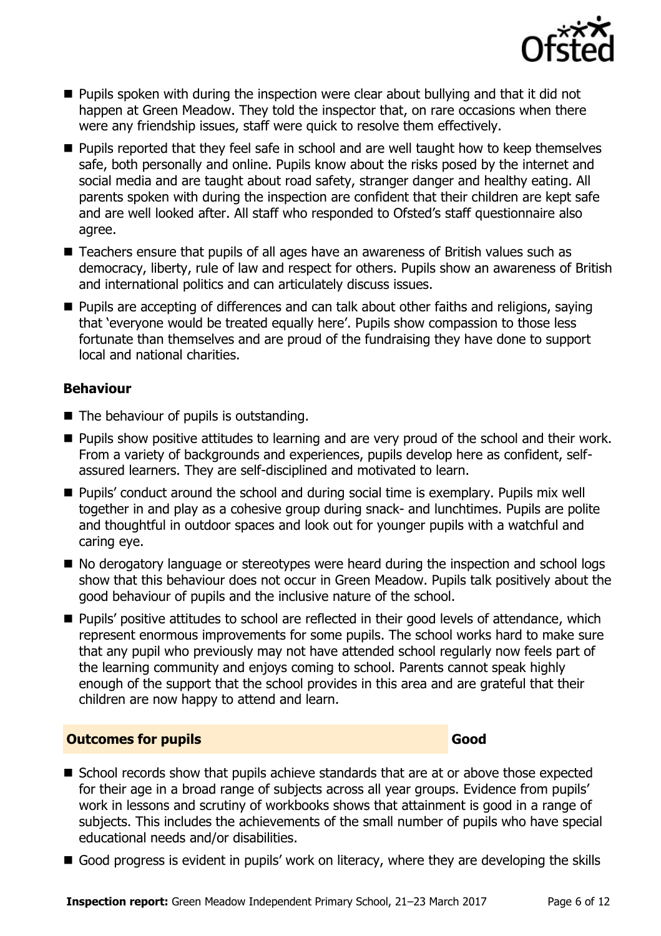

- $\blacksquare$  Pupils spoken with during the inspection were clear about bullying and that it did not happen at Green Meadow. They told the inspector that, on rare occasions when there were any friendship issues, staff were quick to resolve them effectively.
- **Pupils reported that they feel safe in school and are well taught how to keep themselves** safe, both personally and online. Pupils know about the risks posed by the internet and social media and are taught about road safety, stranger danger and healthy eating. All parents spoken with during the inspection are confident that their children are kept safe and are well looked after. All staff who responded to Ofsted's staff questionnaire also agree.
- Teachers ensure that pupils of all ages have an awareness of British values such as democracy, liberty, rule of law and respect for others. Pupils show an awareness of British and international politics and can articulately discuss issues.
- **Pupils are accepting of differences and can talk about other faiths and religions, saying** that 'everyone would be treated equally here'. Pupils show compassion to those less fortunate than themselves and are proud of the fundraising they have done to support local and national charities.

## **Behaviour**

- The behaviour of pupils is outstanding.
- **Pupils show positive attitudes to learning and are very proud of the school and their work.** From a variety of backgrounds and experiences, pupils develop here as confident, selfassured learners. They are self-disciplined and motivated to learn.
- Pupils' conduct around the school and during social time is exemplary. Pupils mix well together in and play as a cohesive group during snack- and lunchtimes. Pupils are polite and thoughtful in outdoor spaces and look out for younger pupils with a watchful and caring eye.
- No derogatory language or stereotypes were heard during the inspection and school logs show that this behaviour does not occur in Green Meadow. Pupils talk positively about the good behaviour of pupils and the inclusive nature of the school.
- **Pupils' positive attitudes to school are reflected in their good levels of attendance, which** represent enormous improvements for some pupils. The school works hard to make sure that any pupil who previously may not have attended school regularly now feels part of the learning community and enjoys coming to school. Parents cannot speak highly enough of the support that the school provides in this area and are grateful that their children are now happy to attend and learn.

#### **Outcomes for pupils Good**

- School records show that pupils achieve standards that are at or above those expected for their age in a broad range of subjects across all year groups. Evidence from pupils' work in lessons and scrutiny of workbooks shows that attainment is good in a range of subjects. This includes the achievements of the small number of pupils who have special educational needs and/or disabilities.
- Good progress is evident in pupils' work on literacy, where they are developing the skills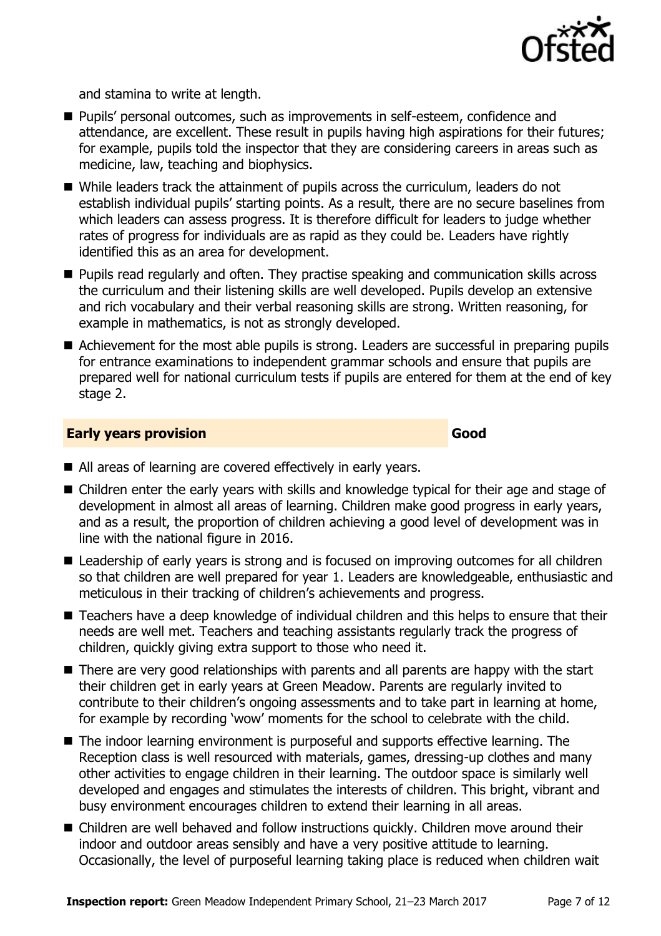

and stamina to write at length.

- Pupils' personal outcomes, such as improvements in self-esteem, confidence and attendance, are excellent. These result in pupils having high aspirations for their futures; for example, pupils told the inspector that they are considering careers in areas such as medicine, law, teaching and biophysics.
- While leaders track the attainment of pupils across the curriculum, leaders do not establish individual pupils' starting points. As a result, there are no secure baselines from which leaders can assess progress. It is therefore difficult for leaders to judge whether rates of progress for individuals are as rapid as they could be. Leaders have rightly identified this as an area for development.
- **Pupils read regularly and often. They practise speaking and communication skills across** the curriculum and their listening skills are well developed. Pupils develop an extensive and rich vocabulary and their verbal reasoning skills are strong. Written reasoning, for example in mathematics, is not as strongly developed.
- Achievement for the most able pupils is strong. Leaders are successful in preparing pupils for entrance examinations to independent grammar schools and ensure that pupils are prepared well for national curriculum tests if pupils are entered for them at the end of key stage 2.

#### **Early years provision Good Good**

- All areas of learning are covered effectively in early years.
- Children enter the early years with skills and knowledge typical for their age and stage of development in almost all areas of learning. Children make good progress in early years, and as a result, the proportion of children achieving a good level of development was in line with the national figure in 2016.
- Leadership of early years is strong and is focused on improving outcomes for all children so that children are well prepared for year 1. Leaders are knowledgeable, enthusiastic and meticulous in their tracking of children's achievements and progress.
- Teachers have a deep knowledge of individual children and this helps to ensure that their needs are well met. Teachers and teaching assistants regularly track the progress of children, quickly giving extra support to those who need it.
- There are very good relationships with parents and all parents are happy with the start their children get in early years at Green Meadow. Parents are regularly invited to contribute to their children's ongoing assessments and to take part in learning at home, for example by recording 'wow' moments for the school to celebrate with the child.
- The indoor learning environment is purposeful and supports effective learning. The Reception class is well resourced with materials, games, dressing-up clothes and many other activities to engage children in their learning. The outdoor space is similarly well developed and engages and stimulates the interests of children. This bright, vibrant and busy environment encourages children to extend their learning in all areas.
- Children are well behaved and follow instructions quickly. Children move around their indoor and outdoor areas sensibly and have a very positive attitude to learning. Occasionally, the level of purposeful learning taking place is reduced when children wait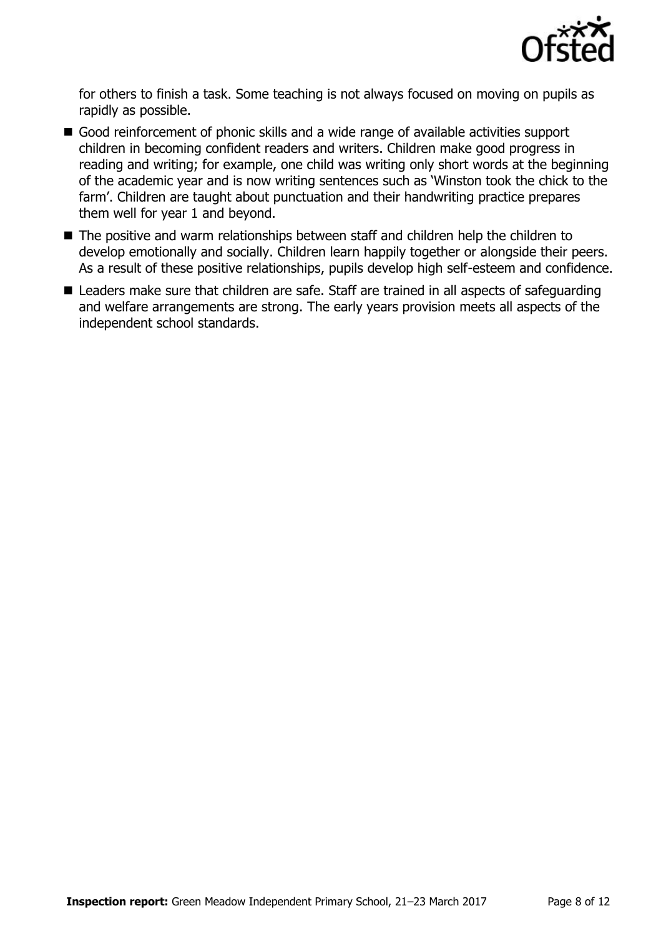

for others to finish a task. Some teaching is not always focused on moving on pupils as rapidly as possible.

- Good reinforcement of phonic skills and a wide range of available activities support children in becoming confident readers and writers. Children make good progress in reading and writing; for example, one child was writing only short words at the beginning of the academic year and is now writing sentences such as 'Winston took the chick to the farm'. Children are taught about punctuation and their handwriting practice prepares them well for year 1 and beyond.
- The positive and warm relationships between staff and children help the children to develop emotionally and socially. Children learn happily together or alongside their peers. As a result of these positive relationships, pupils develop high self-esteem and confidence.
- Leaders make sure that children are safe. Staff are trained in all aspects of safeguarding and welfare arrangements are strong. The early years provision meets all aspects of the independent school standards.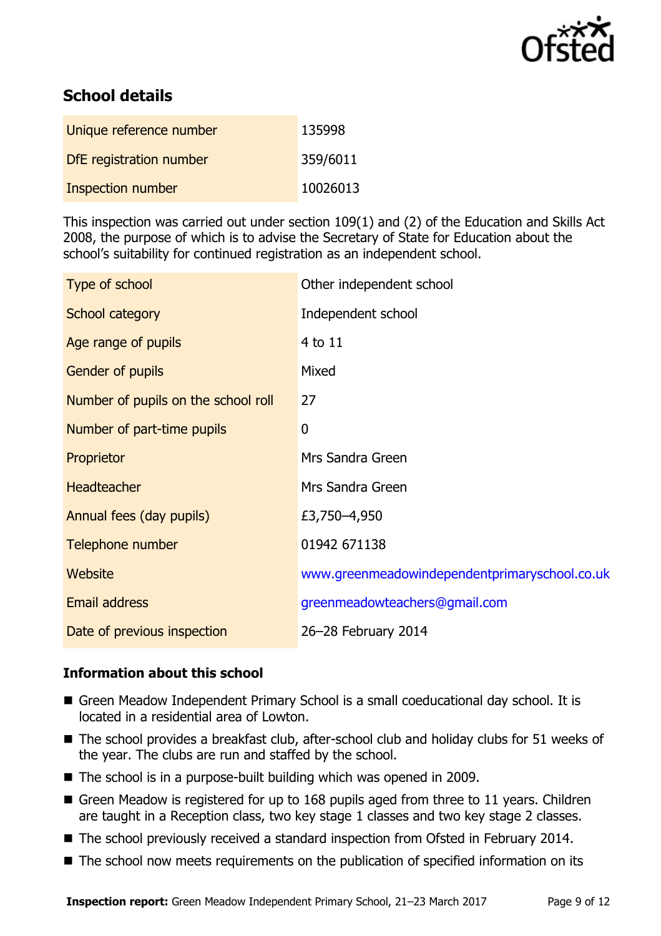

# **School details**

| Unique reference number        | 135998   |
|--------------------------------|----------|
| <b>DfE</b> registration number | 359/6011 |
| <b>Inspection number</b>       | 10026013 |

This inspection was carried out under section 109(1) and (2) of the Education and Skills Act 2008, the purpose of which is to advise the Secretary of State for Education about the school's suitability for continued registration as an independent school.

| Type of school                      | Other independent school                      |
|-------------------------------------|-----------------------------------------------|
| School category                     | Independent school                            |
| Age range of pupils                 | $4$ to $11$                                   |
| <b>Gender of pupils</b>             | Mixed                                         |
| Number of pupils on the school roll | 27                                            |
| Number of part-time pupils          | $\boldsymbol{0}$                              |
| Proprietor                          | Mrs Sandra Green                              |
| <b>Headteacher</b>                  | Mrs Sandra Green                              |
| Annual fees (day pupils)            | £3,750-4,950                                  |
| Telephone number                    | 01942 671138                                  |
| <b>Website</b>                      | www.greenmeadowindependentprimaryschool.co.uk |
| Email address                       | greenmeadowteachers@gmail.com                 |
| Date of previous inspection         | 26-28 February 2014                           |

#### **Information about this school**

- Green Meadow Independent Primary School is a small coeducational day school. It is located in a residential area of Lowton.
- The school provides a breakfast club, after-school club and holiday clubs for 51 weeks of the year. The clubs are run and staffed by the school.
- The school is in a purpose-built building which was opened in 2009.
- Green Meadow is registered for up to 168 pupils aged from three to 11 years. Children are taught in a Reception class, two key stage 1 classes and two key stage 2 classes.
- The school previously received a standard inspection from Ofsted in February 2014.
- The school now meets requirements on the publication of specified information on its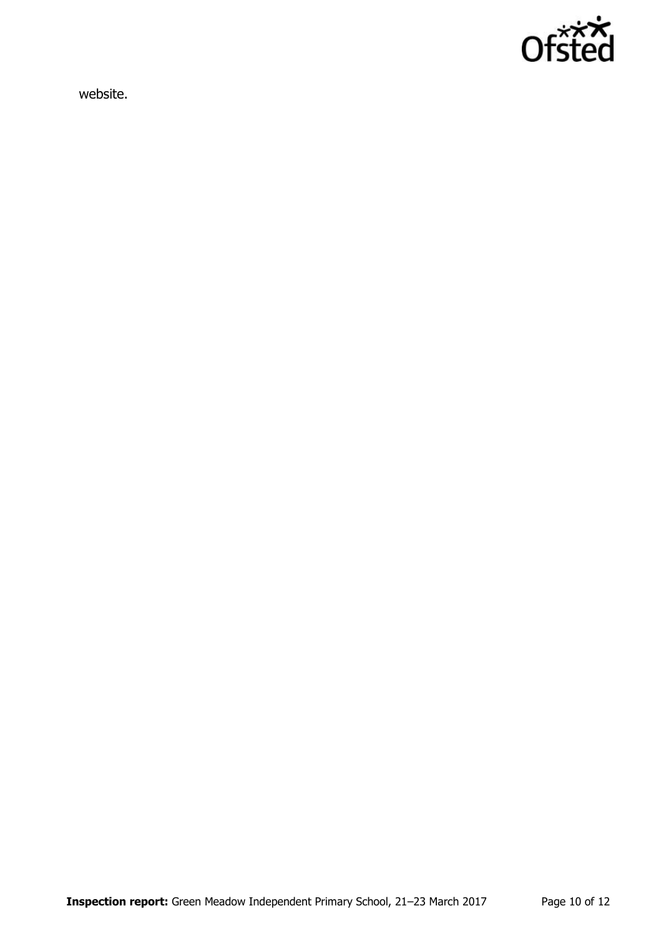

website.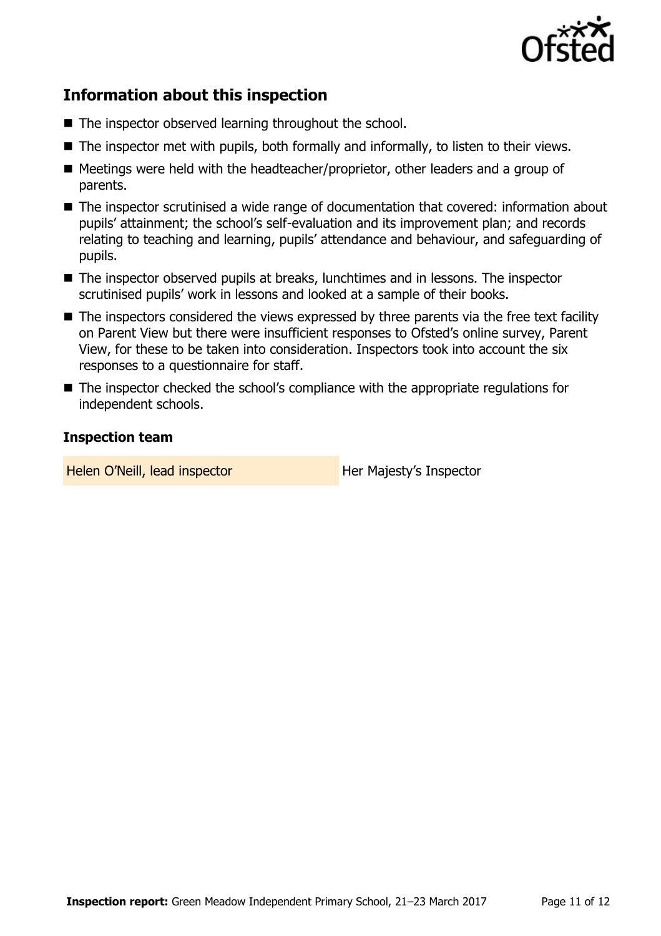

## **Information about this inspection**

- The inspector observed learning throughout the school.
- $\blacksquare$  The inspector met with pupils, both formally and informally, to listen to their views.
- Meetings were held with the headteacher/proprietor, other leaders and a group of parents.
- The inspector scrutinised a wide range of documentation that covered: information about pupils' attainment; the school's self-evaluation and its improvement plan; and records relating to teaching and learning, pupils' attendance and behaviour, and safeguarding of pupils.
- The inspector observed pupils at breaks, lunchtimes and in lessons. The inspector scrutinised pupils' work in lessons and looked at a sample of their books.
- The inspectors considered the views expressed by three parents via the free text facility on Parent View but there were insufficient responses to Ofsted's online survey, Parent View, for these to be taken into consideration. Inspectors took into account the six responses to a questionnaire for staff.
- The inspector checked the school's compliance with the appropriate regulations for independent schools.

#### **Inspection team**

Helen O'Neill, lead inspector **Her Majesty's Inspector**